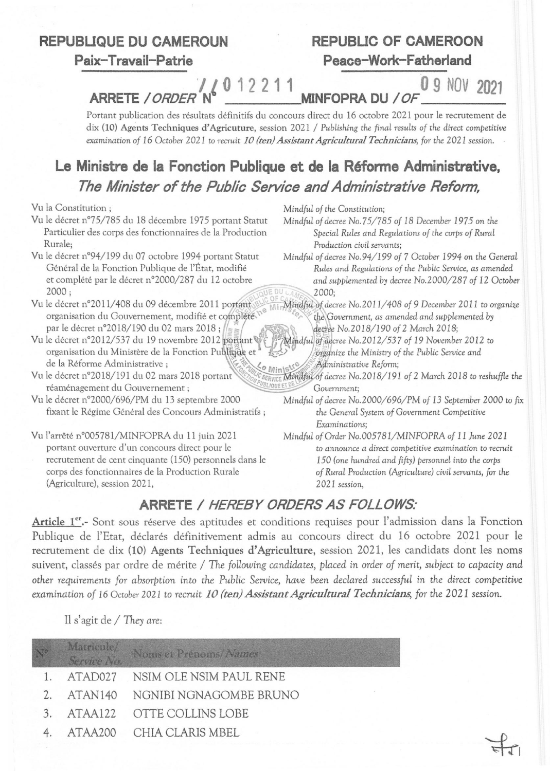#### **REPUBUQUE DU CAMEROUN**

**Paix- Travail-Patrie** 

# **REPUBLIC OF CAMEROON Peace-Work-Fatherland**

*J 1* 0 1 2 2 1 1 0 **9 NOV 2021 ARRETE** */ORDER* **N MINFOPRA DU** */OF \_* 

Portant publication des résultats définitifs du concours direct du 16 octobre 2021 pour le recrutement de dix (10) Agents Techniques d'Agricuture, session 2021 / *Publishing the final results of the direct competitive examination of 16 October 2021 to recruit 10 (ten) Assistant Agricultural Technicians, for the 2021 session.* 

## **Le Ministre de la Fonction Publique et de la Réforme Administrative,**  *The Minister of the Public Service and Administrative Reform,*

Vu la Constitution;

- Vu le décret n°75/785 du 18 décembre 1975 portant Statut Particulier des corps des fonctionnaires de la Production Rurale;
- Vu le décret n°94/199 du 07 octobre 1994 portant Statut<br>Général de la Fonction Publique de l'État, modifié
- Vu le décret n°2011/408 du 09 décembre 2011 portant Mindful of decree No.2011/408 of 9 December 2011 to organize<br>organisation du Gouvernement, modifié et complété n<sup>e Mindful</sup> of decree No.2011/408 of 9 December 2011 to or organisation du Gouvernement, modifié et complète.<br>par le décret n°2018/190 du 02 mars 2018 ;<br>décree No.2018/190 of 2 March 2018;
- par le décret n°2018/190 du 02 mars 2018;<br>Vu le décret n°2012/537 du 19 novembre 2012 portant<br>organize the Ministry of the Public Service and<br>organisation du Ministère de la Fonction Public give et organisation du Ministère de la Fonction Publiciae et , ... ... *organize the Ministry of the Public Service and* de la Réforme Administrative ;<br>Vu le décret n°2018/191 du 02 mars 2018 portant *aux le service Mindful of decree No.2018/191*
- réaménagement du Gouvernement <sup>j</sup>*P{l8LIQUEEiIl~\. Government;*
- fixant le Régime Général des Concours Administratifs; the *General System of* Government *Competitive*
- Vu l'arrêté n°005781/MINFOPRA du 11 juin 2021 portant ouverture d'un concours direct pour le recrutement de cent cinquante (150) personnels dans le corps des fonctionnaires de la Production Rurale (Agriculture), session 2021,

*MindfuL of the* Constitution;

*Mindfulofdecree No.* 75/785 *of* 18 Decernber 1975 on *the Special Rules and Regulations of the corps of Rural Production civil servants;* 

Rules and Regulations of the Public Service, as amended et complété par le décret n°2000/287 du 12 octobre *and supplemented by decree No.2000/287 of 12 October* 2000;<br>2000 ; *Mindful of decree No.94/199 of 7 October 1994 on the General* 

- 
- *BERVICE MUNdful of decree No.2018/191 of 2 March 2018 to reshuffle the GUIQUE ET DE C <i>Government:*
- Vu le décret n02000/696/PM du 13 septembre 2000 *Mindful of decree* No.2000/696/PM *of* 13 Seprernber 2000 to *fix Exami nations;* 
	- *Mindful of Order No.005781/MINFOPRA of 11 June 2021* ta announce *a direct competitive* examination ta *recruit*  150 (one *hundred and fifty) personnel into the corps of Rural Production (Agriculture) civil servants, for the 2021 session,*

~I

## **ARRETE /** *HEREBY ORDERS AS FOLLOWS:*

Article 1<sup>er</sup>.- Sont sous réserve des aptitudes et conditions requises pour l'admission dans la Fonction Publique de l'Etat, déclarés définitivement admis au concours direct du 16 octobre 2021 pour le recrutement de dix (10) Agents Techniques d'Agriculture, session 2021, les candidats dont les noms suivent, classés par ordre de mérite / The *folLowing candidates, placed* in *order of merit, subject* to *capacity and other requirements for absorption* into *the Public Service, have been declared successful* in *the direct competitive*  examination of 16 October 2021 to *recruit 10 (ten) Assistant Agricultural Technicians*, for the 2021 session.

Il s'agit de / They *are:* 

|               | Matricule/<br>Service No. | Noms et Prénoms/Names     |
|---------------|---------------------------|---------------------------|
|               | ATAD027                   | NSIM OLE NSIM PAUL RENE   |
| 2.            | ATAN140                   | NGNIBI NGNAGOMBE BRUNO    |
| $\mathcal{E}$ |                           | ATAA122 OTTE COLLINS LOBE |
|               |                           | ATAA200 CHIA CLARIS MBEL  |
|               |                           |                           |